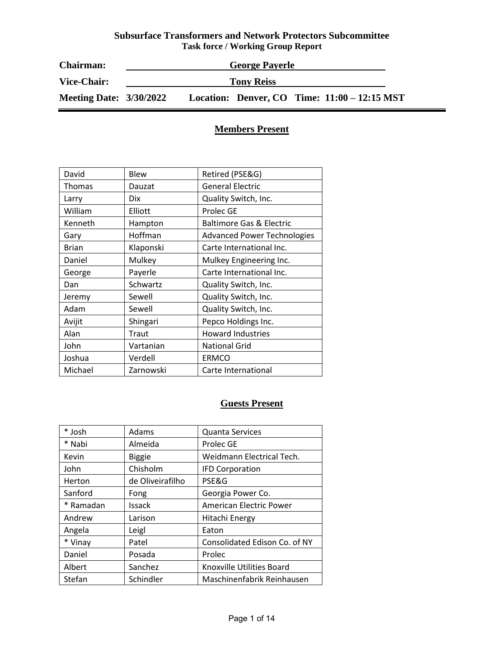| <b>Chairman:</b>               | <b>George Payerle</b> |  |                   |  |                                              |
|--------------------------------|-----------------------|--|-------------------|--|----------------------------------------------|
| <b>Vice-Chair:</b>             |                       |  | <b>Tony Reiss</b> |  |                                              |
| <b>Meeting Date: 3/30/2022</b> |                       |  |                   |  | Location: Denver, CO Time: 11:00 – 12:15 MST |

# **Members Present**

| David        | <b>Blew</b> | Retired (PSE&G)                     |
|--------------|-------------|-------------------------------------|
| Thomas       | Dauzat      | <b>General Electric</b>             |
| Larry        | <b>Dix</b>  | Quality Switch, Inc.                |
| William      | Elliott     | Prolec GE                           |
| Kenneth      | Hampton     | <b>Baltimore Gas &amp; Electric</b> |
| Gary         | Hoffman     | <b>Advanced Power Technologies</b>  |
| <b>Brian</b> | Klaponski   | Carte International Inc.            |
| Daniel       | Mulkey      | Mulkey Engineering Inc.             |
| George       | Payerle     | Carte International Inc.            |
| Dan          | Schwartz    | Quality Switch, Inc.                |
| Jeremy       | Sewell      | Quality Switch, Inc.                |
| Adam         | Sewell      | Quality Switch, Inc.                |
| Avijit       | Shingari    | Pepco Holdings Inc.                 |
| Alan         | Traut       | <b>Howard Industries</b>            |
| John         | Vartanian   | <b>National Grid</b>                |
| Joshua       | Verdell     | <b>ERMCO</b>                        |
| Michael      | Zarnowski   | Carte International                 |

# **Guests Present**

| * Josh    | Adams            | <b>Quanta Services</b>        |
|-----------|------------------|-------------------------------|
| * Nabi    | Almeida          | Prolec GE                     |
| Kevin     | <b>Biggie</b>    | Weidmann Electrical Tech.     |
| John      | Chisholm         | <b>IFD Corporation</b>        |
| Herton    | de Oliveirafilho | PSE&G                         |
| Sanford   | Fong             | Georgia Power Co.             |
| * Ramadan | Issack           | American Electric Power       |
| Andrew    | Larison          | Hitachi Energy                |
| Angela    | Leigl            | Eaton                         |
| * Vinay   | Patel            | Consolidated Edison Co. of NY |
| Daniel    | Posada           | Prolec                        |
| Albert    | Sanchez          | Knoxville Utilities Board     |
| Stefan    | Schindler        | Maschinenfabrik Reinhausen    |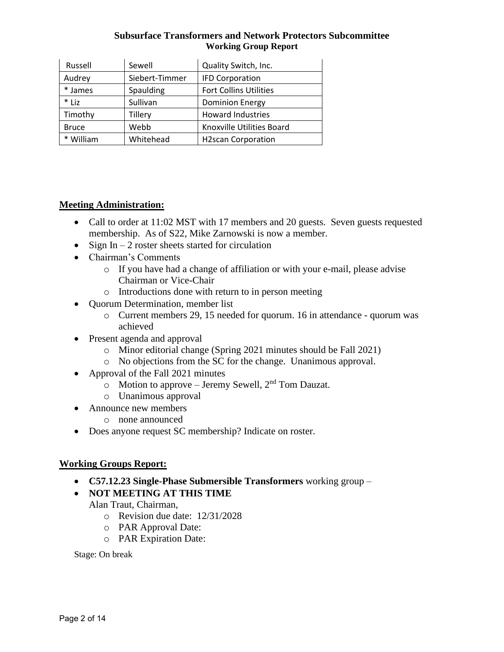| Russell      | Sewell         | Quality Switch, Inc.          |
|--------------|----------------|-------------------------------|
| Audrey       | Siebert-Timmer | <b>IFD Corporation</b>        |
| * James      | Spaulding      | <b>Fort Collins Utilities</b> |
| $*$ Liz      | Sullivan       | <b>Dominion Energy</b>        |
| Timothy      | Tillery        | <b>Howard Industries</b>      |
| <b>Bruce</b> | Webb           | Knoxville Utilities Board     |
| * William    | Whitehead      | <b>H2scan Corporation</b>     |

# **Meeting Administration:**

- Call to order at 11:02 MST with 17 members and 20 guests. Seven guests requested membership. As of S22, Mike Zarnowski is now a member.
- Sign In  $-2$  roster sheets started for circulation
- Chairman's Comments
	- o If you have had a change of affiliation or with your e-mail, please advise Chairman or Vice-Chair
	- o Introductions done with return to in person meeting
- Quorum Determination, member list
	- o Current members 29, 15 needed for quorum. 16 in attendance quorum was achieved
- Present agenda and approval
	- o Minor editorial change (Spring 2021 minutes should be Fall 2021)
	- o No objections from the SC for the change. Unanimous approval.
- Approval of the Fall 2021 minutes
	- $\circ$  Motion to approve Jeremy Sewell,  $2<sup>nd</sup>$  Tom Dauzat.
	- o Unanimous approval
- Announce new members
	- o none announced
- Does anyone request SC membership? Indicate on roster.

# **Working Groups Report:**

- **C57.12.23 Single-Phase Submersible Transformers** working group –
- **NOT MEETING AT THIS TIME**

Alan Traut, Chairman,

- o Revision due date: 12/31/2028
- o PAR Approval Date:
- o PAR Expiration Date:

Stage: On break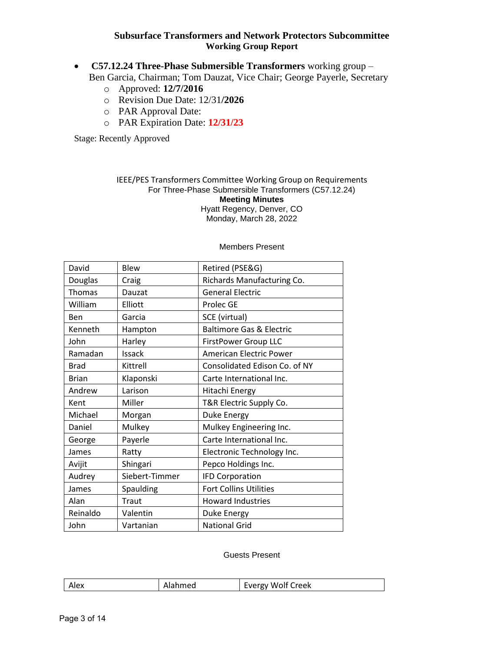- **C57.12.24 Three-Phase Submersible Transformers** working group Ben Garcia, Chairman; Tom Dauzat, Vice Chair; George Payerle, Secretary
	- o Approved: **12/7/2016**
	- o Revision Due Date: 12/31**/2026**
	- o PAR Approval Date:
	- o PAR Expiration Date: **12/31/23**

Stage: Recently Approved

#### IEEE/PES Transformers Committee Working Group on Requirements For Three-Phase Submersible Transformers (C57.12.24) **Meeting Minutes** Hyatt Regency, Denver, CO Monday, March 28, 2022

| David        | <b>Blew</b>    | Retired (PSE&G)                     |
|--------------|----------------|-------------------------------------|
| Douglas      | Craig          | Richards Manufacturing Co.          |
| Thomas       | Dauzat         | <b>General Electric</b>             |
| William      | Elliott        | Prolec GE                           |
| Ben          | Garcia         | SCE (virtual)                       |
| Kenneth      | Hampton        | <b>Baltimore Gas &amp; Electric</b> |
| John         | Harley         | FirstPower Group LLC                |
| Ramadan      | Issack         | <b>American Electric Power</b>      |
| <b>Brad</b>  | Kittrell       | Consolidated Edison Co. of NY       |
| <b>Brian</b> | Klaponski      | Carte International Inc.            |
| Andrew       | Larison        | Hitachi Energy                      |
| Kent         | Miller         | T&R Electric Supply Co.             |
| Michael      | Morgan         | Duke Energy                         |
| Daniel       | Mulkey         | Mulkey Engineering Inc.             |
| George       | Payerle        | Carte International Inc.            |
| James        | Ratty          | Electronic Technology Inc.          |
| Avijit       | Shingari       | Pepco Holdings Inc.                 |
| Audrey       | Siebert-Timmer | <b>IFD Corporation</b>              |
| James        | Spaulding      | <b>Fort Collins Utilities</b>       |
| Alan         | Traut          | <b>Howard Industries</b>            |
| Reinaldo     | Valentin       | Duke Energy                         |
| John         | Vartanian      | <b>National Grid</b>                |

#### Members Present

#### Guests Present

| Fyerøy |  | Alex | <b>Jahmed</b> | Wolf Creek |
|--------|--|------|---------------|------------|
|--------|--|------|---------------|------------|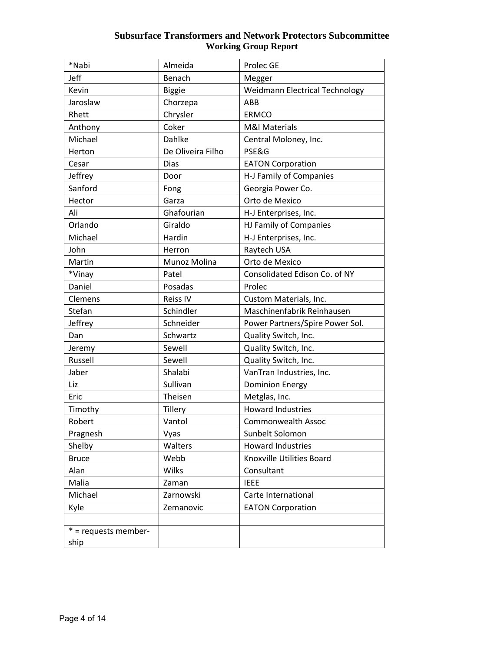| *Nabi                | Almeida           | Prolec GE                             |
|----------------------|-------------------|---------------------------------------|
| Jeff                 | Benach            | Megger                                |
| Kevin                | <b>Biggie</b>     | <b>Weidmann Electrical Technology</b> |
| Jaroslaw             | Chorzepa          | <b>ABB</b>                            |
| Rhett                | Chrysler          | <b>ERMCO</b>                          |
| Anthony              | Coker             | <b>M&amp;I Materials</b>              |
| Michael              | Dahlke            | Central Moloney, Inc.                 |
| Herton               | De Oliveira Filho | PSE&G                                 |
| Cesar                | Dias              | <b>EATON Corporation</b>              |
| Jeffrey              | Door              | H-J Family of Companies               |
| Sanford              | Fong              | Georgia Power Co.                     |
| Hector               | Garza             | Orto de Mexico                        |
| Ali                  | Ghafourian        | H-J Enterprises, Inc.                 |
| Orlando              | Giraldo           | HJ Family of Companies                |
| Michael              | Hardin            | H-J Enterprises, Inc.                 |
| John                 | Herron            | Raytech USA                           |
| Martin               | Munoz Molina      | Orto de Mexico                        |
| *Vinay               | Patel             | Consolidated Edison Co. of NY         |
| Daniel               | Posadas           | Prolec                                |
| Clemens              | Reiss IV          | Custom Materials, Inc.                |
| Stefan               | Schindler         | Maschinenfabrik Reinhausen            |
| Jeffrey              | Schneider         | Power Partners/Spire Power Sol.       |
| Dan                  | Schwartz          | Quality Switch, Inc.                  |
| Jeremy               | Sewell            | Quality Switch, Inc.                  |
| Russell              | Sewell            | Quality Switch, Inc.                  |
| Jaber                | Shalabi           | VanTran Industries, Inc.              |
| Liz                  | Sullivan          | <b>Dominion Energy</b>                |
| Eric                 | Theisen           | Metglas, Inc.                         |
| Timothy              | <b>Tillery</b>    | <b>Howard Industries</b>              |
| Robert               | Vantol            | <b>Commonwealth Assoc</b>             |
| Pragnesh             | Vyas              | Sunbelt Solomon                       |
| Shelby               | Walters           | <b>Howard Industries</b>              |
| <b>Bruce</b>         | Webb              | Knoxville Utilities Board             |
| Alan                 | <b>Wilks</b>      | Consultant                            |
| Malia                | Zaman             | <b>IEEE</b>                           |
| Michael              | Zarnowski         | Carte International                   |
| Kyle                 | Zemanovic         | <b>EATON Corporation</b>              |
|                      |                   |                                       |
| * = requests member- |                   |                                       |
| ship                 |                   |                                       |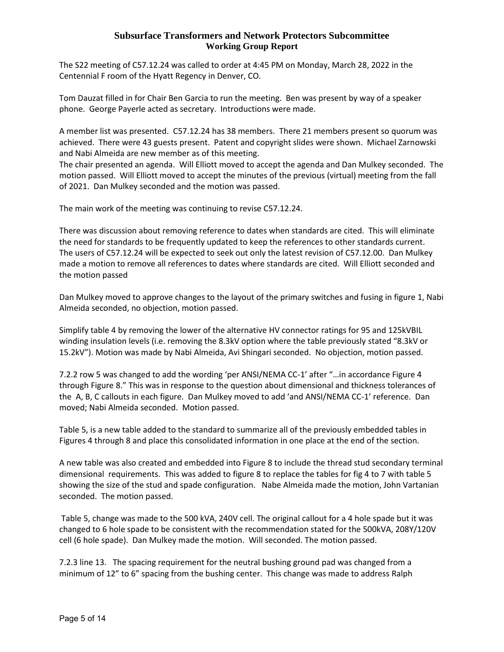The S22 meeting of C57.12.24 was called to order at 4:45 PM on Monday, March 28, 2022 in the Centennial F room of the Hyatt Regency in Denver, CO.

Tom Dauzat filled in for Chair Ben Garcia to run the meeting. Ben was present by way of a speaker phone. George Payerle acted as secretary. Introductions were made.

A member list was presented. C57.12.24 has 38 members. There 21 members present so quorum was achieved. There were 43 guests present. Patent and copyright slides were shown. Michael Zarnowski and Nabi Almeida are new member as of this meeting.

The chair presented an agenda. Will Elliott moved to accept the agenda and Dan Mulkey seconded. The motion passed. Will Elliott moved to accept the minutes of the previous (virtual) meeting from the fall of 2021. Dan Mulkey seconded and the motion was passed.

The main work of the meeting was continuing to revise C57.12.24.

There was discussion about removing reference to dates when standards are cited. This will eliminate the need for standards to be frequently updated to keep the references to other standards current. The users of C57.12.24 will be expected to seek out only the latest revision of C57.12.00. Dan Mulkey made a motion to remove all references to dates where standards are cited. Will Elliott seconded and the motion passed

Dan Mulkey moved to approve changes to the layout of the primary switches and fusing in figure 1, Nabi Almeida seconded, no objection, motion passed.

Simplify table 4 by removing the lower of the alternative HV connector ratings for 95 and 125kVBIL winding insulation levels (i.e. removing the 8.3kV option where the table previously stated "8.3kV or 15.2kV"). Motion was made by Nabi Almeida, Avi Shingari seconded. No objection, motion passed.

7.2.2 row 5 was changed to add the wording 'per ANSI/NEMA CC-1' after "…in accordance Figure 4 through Figure 8." This was in response to the question about dimensional and thickness tolerances of the A, B, C callouts in each figure. Dan Mulkey moved to add 'and ANSI/NEMA CC-1' reference. Dan moved; Nabi Almeida seconded. Motion passed.

Table 5, is a new table added to the standard to summarize all of the previously embedded tables in Figures 4 through 8 and place this consolidated information in one place at the end of the section.

A new table was also created and embedded into Figure 8 to include the thread stud secondary terminal dimensional requirements. This was added to figure 8 to replace the tables for fig 4 to 7 with table 5 showing the size of the stud and spade configuration. Nabe Almeida made the motion, John Vartanian seconded. The motion passed.

Table 5, change was made to the 500 kVA, 240V cell. The original callout for a 4 hole spade but it was changed to 6 hole spade to be consistent with the recommendation stated for the 500kVA, 208Y/120V cell (6 hole spade). Dan Mulkey made the motion. Will seconded. The motion passed.

7.2.3 line 13. The spacing requirement for the neutral bushing ground pad was changed from a minimum of 12" to 6" spacing from the bushing center. This change was made to address Ralph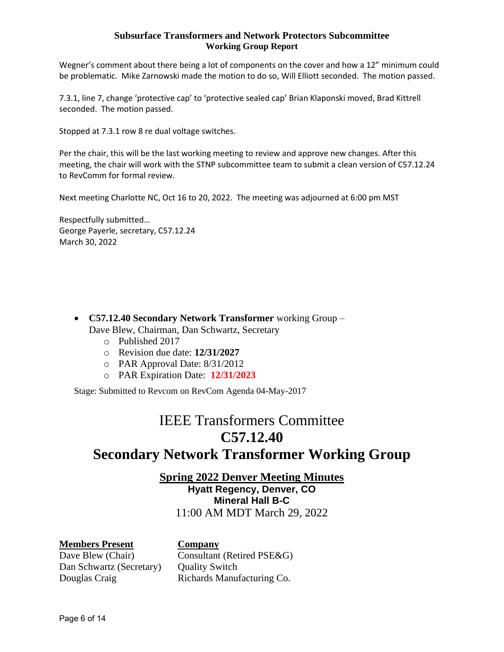Wegner's comment about there being a lot of components on the cover and how a 12" minimum could be problematic. Mike Zarnowski made the motion to do so, Will Elliott seconded. The motion passed.

7.3.1, line 7, change 'protective cap' to 'protective sealed cap' Brian Klaponski moved, Brad Kittrell seconded. The motion passed.

Stopped at 7.3.1 row 8 re dual voltage switches.

Per the chair, this will be the last working meeting to review and approve new changes. After this meeting, the chair will work with the STNP subcommittee team to submit a clean version of C57.12.24 to RevComm for formal review.

Next meeting Charlotte NC, Oct 16 to 20, 2022. The meeting was adjourned at 6:00 pm MST

Respectfully submitted… George Payerle, secretary, C57.12.24 March 30, 2022

- **C57.12.40 Secondary Network Transformer** working Group Dave Blew, Chairman, Dan Schwartz, Secretary
	- o Published 2017
	- o Revision due date: **12/31/2027**
	- o PAR Approval Date: 8/31/2012
	- o PAR Expiration Date: **12/31/2023**

Stage: Submitted to Revcom on RevCom Agenda 04-May-2017

# IEEE Transformers Committee **C57.12.40**

# **Secondary Network Transformer Working Group**

**Spring 2022 Denver Meeting Minutes Hyatt Regency, Denver, CO Mineral Hall B-C** 11:00 AM MDT March 29, 2022

# **Members Present Company**

Dan Schwartz (Secretary) Ouality Switch

Dave Blew (Chair) Consultant (Retired PSE&G) Douglas Craig **Richards Manufacturing Co.**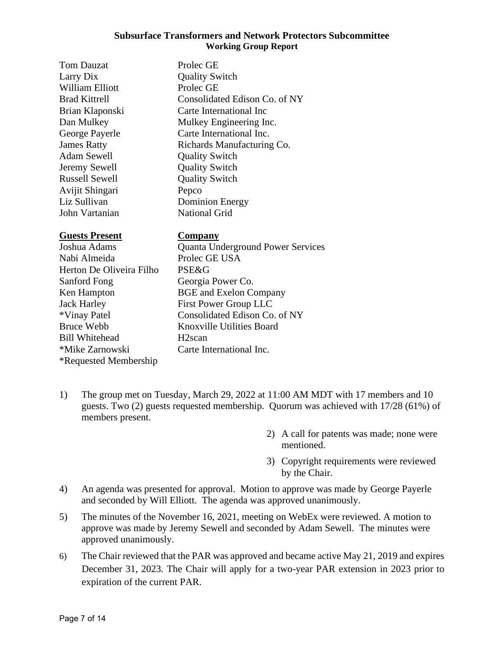| <b>Tom Dauzat</b>     | Prolec GE                                |
|-----------------------|------------------------------------------|
| Larry Dix             | <b>Quality Switch</b>                    |
| William Elliott       | Prolec GE                                |
| <b>Brad Kittrell</b>  | Consolidated Edison Co. of NY            |
| Brian Klaponski       | Carte International Inc                  |
| Dan Mulkey            | Mulkey Engineering Inc.                  |
| George Payerle        | Carte International Inc.                 |
| <b>James Ratty</b>    | Richards Manufacturing Co.               |
| Adam Sewell           | <b>Quality Switch</b>                    |
| Jeremy Sewell         | <b>Quality Switch</b>                    |
| Russell Sewell        | <b>Quality Switch</b>                    |
| Avijit Shingari       | Pepco                                    |
| Liz Sullivan          | <b>Dominion Energy</b>                   |
| John Vartanian        | <b>National Grid</b>                     |
| <b>Guests Present</b> | Company                                  |
| Joshua Adams          | <b>Quanta Underground Power Services</b> |
| Nabi Almeida          | Prolec GE USA                            |

Herton De Oliveira Filho PSE&G Sanford Fong Georgia Power Co. Ken Hampton BGE and Exelon Company Jack Harley First Power Group LLC Bruce Webb Knoxville Utilities Board Bill Whitehead H2scan \*Mike Zarnowski Carte International Inc. \*Requested Membership

\*Vinay Patel Consolidated Edison Co. of NY

- 1) The group met on Tuesday, March 29, 2022 at 11:00 AM MDT with 17 members and 10 guests. Two (2) guests requested membership. Quorum was achieved with 17/28 (61%) of members present.
	- 2) A call for patents was made; none were mentioned.
	- 3) Copyright requirements were reviewed by the Chair.
- 4) An agenda was presented for approval. Motion to approve was made by George Payerle and seconded by Will Elliott. The agenda was approved unanimously.
- 5) The minutes of the November 16, 2021, meeting on WebEx were reviewed. A motion to approve was made by Jeremy Sewell and seconded by Adam Sewell. The minutes were approved unanimously.
- 6) The Chair reviewed that the PAR was approved and became active May 21, 2019 and expires December 31, 2023. The Chair will apply for a two-year PAR extension in 2023 prior to expiration of the current PAR.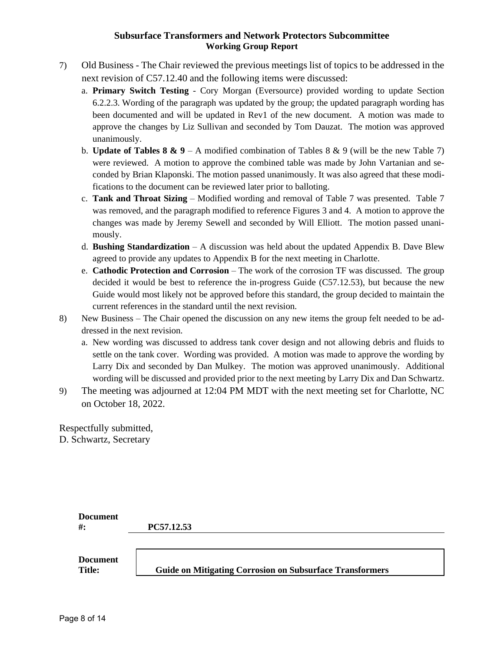- 7) Old Business The Chair reviewed the previous meetings list of topics to be addressed in the next revision of C57.12.40 and the following items were discussed:
	- a. **Primary Switch Testing** Cory Morgan (Eversource) provided wording to update Section 6.2.2.3. Wording of the paragraph was updated by the group; the updated paragraph wording has been documented and will be updated in Rev1 of the new document. A motion was made to approve the changes by Liz Sullivan and seconded by Tom Dauzat. The motion was approved unanimously.
	- b. **Update of Tables 8 & 9** A modified combination of Tables 8 & 9 (will be the new Table 7) were reviewed. A motion to approve the combined table was made by John Vartanian and seconded by Brian Klaponski. The motion passed unanimously. It was also agreed that these modifications to the document can be reviewed later prior to balloting.
	- c. **Tank and Throat Sizing** Modified wording and removal of Table 7 was presented. Table 7 was removed, and the paragraph modified to reference Figures 3 and 4. A motion to approve the changes was made by Jeremy Sewell and seconded by Will Elliott. The motion passed unanimously.
	- d. **Bushing Standardization** A discussion was held about the updated Appendix B. Dave Blew agreed to provide any updates to Appendix B for the next meeting in Charlotte.
	- e. **Cathodic Protection and Corrosion** The work of the corrosion TF was discussed. The group decided it would be best to reference the in-progress Guide (C57.12.53), but because the new Guide would most likely not be approved before this standard, the group decided to maintain the current references in the standard until the next revision.
- 8) New Business The Chair opened the discussion on any new items the group felt needed to be addressed in the next revision.
	- a. New wording was discussed to address tank cover design and not allowing debris and fluids to settle on the tank cover. Wording was provided. A motion was made to approve the wording by Larry Dix and seconded by Dan Mulkey. The motion was approved unanimously. Additional wording will be discussed and provided prior to the next meeting by Larry Dix and Dan Schwartz.
- 9) The meeting was adjourned at 12:04 PM MDT with the next meeting set for Charlotte, NC on October 18, 2022.

Respectfully submitted, D. Schwartz, Secretary

| <b>Document</b>                  |                                                                 |
|----------------------------------|-----------------------------------------------------------------|
| $#$ :                            | PC57.12.53                                                      |
|                                  |                                                                 |
| <b>Document</b><br><b>Title:</b> | <b>Guide on Mitigating Corrosion on Subsurface Transformers</b> |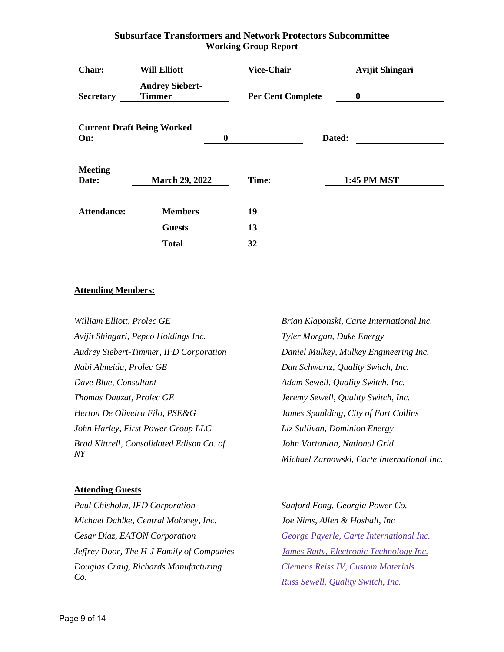| <b>Chair:</b>           | <b>Will Elliott</b>                     |   | <b>Vice-Chair</b>        | <b>Avijit Shingari</b> |
|-------------------------|-----------------------------------------|---|--------------------------|------------------------|
| <b>Secretary</b>        | <b>Audrey Siebert-</b><br><b>Timmer</b> |   | <b>Per Cent Complete</b> | $\bf{0}$               |
| On:                     | <b>Current Draft Being Worked</b>       | 0 |                          | Dated:                 |
| <b>Meeting</b><br>Date: | <b>March 29, 2022</b>                   |   | Time:                    | <b>1:45 PM MST</b>     |
| Attendance:             | <b>Members</b>                          |   | 19                       |                        |
|                         | <b>Guests</b>                           |   | 13                       |                        |
|                         | <b>Total</b>                            |   | 32                       |                        |

## **Attending Members:**

| William Elliott, Prolec GE                    | Brian Klaponski, Carte International Inc.   |
|-----------------------------------------------|---------------------------------------------|
| Avijit Shingari, Pepco Holdings Inc.          | Tyler Morgan, Duke Energy                   |
| <b>Audrey Siebert-Timmer, IFD Corporation</b> | Daniel Mulkey, Mulkey Engineering Inc.      |
| Nabi Almeida, Prolec GE                       | Dan Schwartz, Quality Switch, Inc.          |
| Dave Blue, Consultant                         | Adam Sewell, Quality Switch, Inc.           |
| Thomas Dauzat, Prolec GE                      | Jeremy Sewell, Quality Switch, Inc.         |
| Herton De Oliveira Filo, PSE&G                | James Spaulding, City of Fort Collins       |
| John Harley, First Power Group LLC            | Liz Sullivan, Dominion Energy               |
| Brad Kittrell, Consolidated Edison Co. of     | John Vartanian, National Grid               |
| N <sub>Y</sub>                                | Michael Zarnowski, Carte International Inc. |

## **Attending Guests**

*Paul Chisholm, IFD Corporation Michael Dahlke, Central Moloney, Inc. Cesar Diaz, EATON Corporation Jeffrey Door, The H-J Family of Companies Douglas Craig, Richards Manufacturing Co.*

*Sanford Fong, Georgia Power Co. Joe Nims, Allen & Hoshall, Inc George Payerle, Carte International Inc. James Ratty, Electronic Technology Inc. Clemens Reiss IV, Custom Materials Russ Sewell, Quality Switch, Inc.*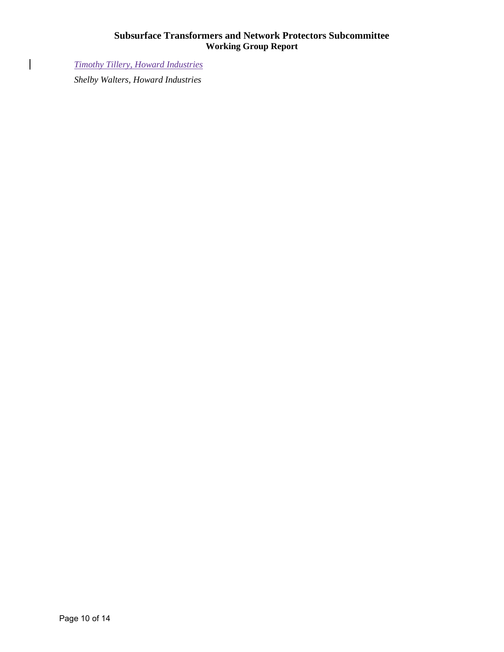*Timothy Tillery, Howard Industries*

 $\overline{\phantom{a}}$ 

*Shelby Walters, Howard Industries*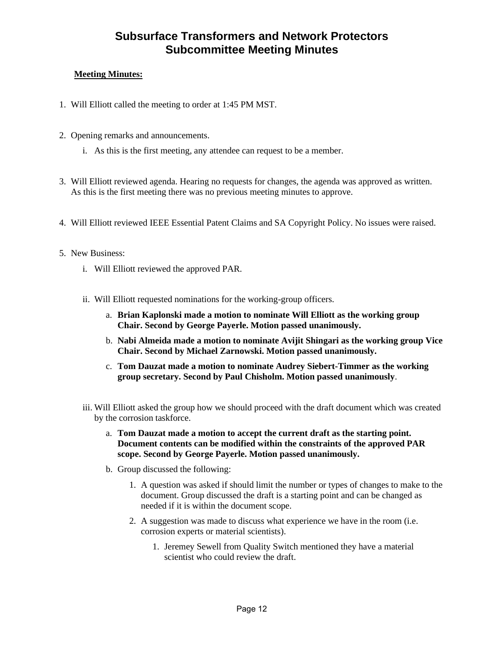# **Subsurface Transformers and Network Protectors Subcommittee Meeting Minutes**

# **Meeting Minutes:**

- 1. Will Elliott called the meeting to order at 1:45 PM MST.
- 2. Opening remarks and announcements.
	- i. As this is the first meeting, any attendee can request to be a member.
- 3. Will Elliott reviewed agenda. Hearing no requests for changes, the agenda was approved as written. As this is the first meeting there was no previous meeting minutes to approve.
- 4. Will Elliott reviewed IEEE Essential Patent Claims and SA Copyright Policy. No issues were raised.
- 5. New Business:
	- i. Will Elliott reviewed the approved PAR.
	- ii. Will Elliott requested nominations for the working-group officers.
		- a. **Brian Kaplonski made a motion to nominate Will Elliott as the working group Chair. Second by George Payerle. Motion passed unanimously.**
		- b. **Nabi Almeida made a motion to nominate Avijit Shingari as the working group Vice Chair. Second by Michael Zarnowski. Motion passed unanimously.**
		- c. **Tom Dauzat made a motion to nominate Audrey Siebert-Timmer as the working group secretary. Second by Paul Chisholm. Motion passed unanimously**.
	- iii. Will Elliott asked the group how we should proceed with the draft document which was created by the corrosion taskforce.
		- a. **Tom Dauzat made a motion to accept the current draft as the starting point. Document contents can be modified within the constraints of the approved PAR scope. Second by George Payerle. Motion passed unanimously.**
		- b. Group discussed the following:
			- 1. A question was asked if should limit the number or types of changes to make to the document. Group discussed the draft is a starting point and can be changed as needed if it is within the document scope.
			- 2. A suggestion was made to discuss what experience we have in the room (i.e. corrosion experts or material scientists).
				- 1. Jeremey Sewell from Quality Switch mentioned they have a material scientist who could review the draft.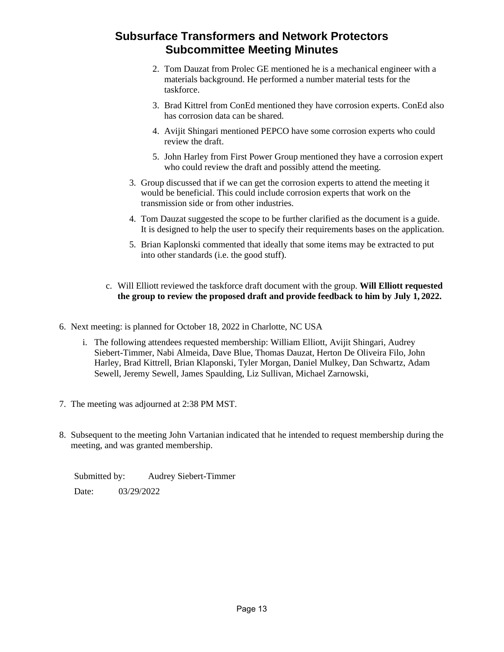# **Subsurface Transformers and Network Protectors Subcommittee Meeting Minutes**

- 2. Tom Dauzat from Prolec GE mentioned he is a mechanical engineer with a materials background. He performed a number material tests for the taskforce.
- 3. Brad Kittrel from ConEd mentioned they have corrosion experts. ConEd also has corrosion data can be shared.
- 4. Avijit Shingari mentioned PEPCO have some corrosion experts who could review the draft.
- 5. John Harley from First Power Group mentioned they have a corrosion expert who could review the draft and possibly attend the meeting.
- 3. Group discussed that if we can get the corrosion experts to attend the meeting it would be beneficial. This could include corrosion experts that work on the transmission side or from other industries.
- 4. Tom Dauzat suggested the scope to be further clarified as the document is a guide. It is designed to help the user to specify their requirements bases on the application.
- 5. Brian Kaplonski commented that ideally that some items may be extracted to put into other standards (i.e. the good stuff).

## c. Will Elliott reviewed the taskforce draft document with the group. **Will Elliott requested the group to review the proposed draft and provide feedback to him by July 1, 2022.**

- 6. Next meeting: is planned for October 18, 2022 in Charlotte, NC USA
	- i. The following attendees requested membership: William Elliott, Avijit Shingari, Audrey Siebert-Timmer, Nabi Almeida, Dave Blue, Thomas Dauzat, Herton De Oliveira Filo, John Harley, Brad Kittrell, Brian Klaponski, Tyler Morgan, Daniel Mulkey, Dan Schwartz, Adam Sewell, Jeremy Sewell, James Spaulding, Liz Sullivan, Michael Zarnowski,
- 7. The meeting was adjourned at 2:38 PM MST.
- 8. Subsequent to the meeting John Vartanian indicated that he intended to request membership during the meeting, and was granted membership.

Submitted by: Audrey Siebert-Timmer Date: 03/29/2022